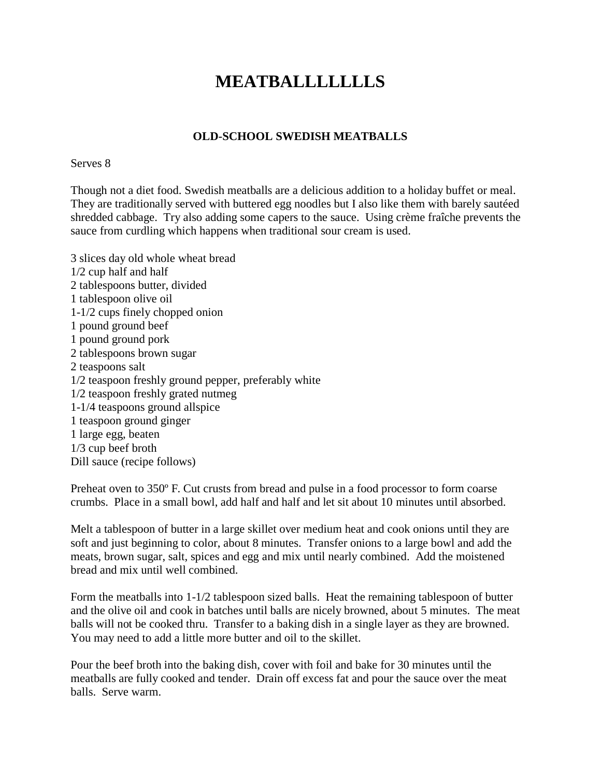# **MEATBALLLLLLLS**

### **OLD-SCHOOL SWEDISH MEATBALLS**

#### Serves 8

Though not a diet food. Swedish meatballs are a delicious addition to a holiday buffet or meal. They are traditionally served with buttered egg noodles but I also like them with barely sautéed shredded cabbage. Try also adding some capers to the sauce. Using crème fraîche prevents the sauce from curdling which happens when traditional sour cream is used.

3 slices day old whole wheat bread 1/2 cup half and half 2 tablespoons butter, divided 1 tablespoon olive oil 1-1/2 cups finely chopped onion 1 pound ground beef 1 pound ground pork 2 tablespoons brown sugar 2 teaspoons salt 1/2 teaspoon freshly ground pepper, preferably white 1/2 teaspoon freshly grated nutmeg 1-1/4 teaspoons ground allspice 1 teaspoon ground ginger 1 large egg, beaten 1/3 cup beef broth Dill sauce (recipe follows)

Preheat oven to 350º F. Cut crusts from bread and pulse in a food processor to form coarse crumbs. Place in a small bowl, add half and half and let sit about 10 minutes until absorbed.

Melt a tablespoon of butter in a large skillet over medium heat and cook onions until they are soft and just beginning to color, about 8 minutes. Transfer onions to a large bowl and add the meats, brown sugar, salt, spices and egg and mix until nearly combined. Add the moistened bread and mix until well combined.

Form the meatballs into 1-1/2 tablespoon sized balls. Heat the remaining tablespoon of butter and the olive oil and cook in batches until balls are nicely browned, about 5 minutes. The meat balls will not be cooked thru. Transfer to a baking dish in a single layer as they are browned. You may need to add a little more butter and oil to the skillet.

Pour the beef broth into the baking dish, cover with foil and bake for 30 minutes until the meatballs are fully cooked and tender. Drain off excess fat and pour the sauce over the meat balls. Serve warm.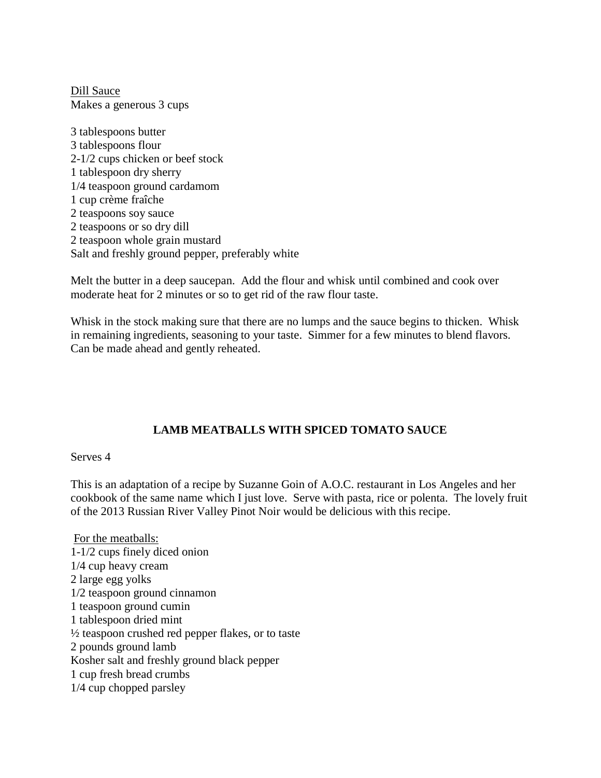Dill Sauce Makes a generous 3 cups

3 tablespoons butter 3 tablespoons flour 2-1/2 cups chicken or beef stock 1 tablespoon dry sherry 1/4 teaspoon ground cardamom 1 cup crème fraîche 2 teaspoons soy sauce 2 teaspoons or so dry dill 2 teaspoon whole grain mustard Salt and freshly ground pepper, preferably white

Melt the butter in a deep saucepan. Add the flour and whisk until combined and cook over moderate heat for 2 minutes or so to get rid of the raw flour taste.

Whisk in the stock making sure that there are no lumps and the sauce begins to thicken. Whisk in remaining ingredients, seasoning to your taste. Simmer for a few minutes to blend flavors. Can be made ahead and gently reheated.

## **LAMB MEATBALLS WITH SPICED TOMATO SAUCE**

#### Serves 4

This is an adaptation of a recipe by Suzanne Goin of A.O.C. restaurant in Los Angeles and her cookbook of the same name which I just love. Serve with pasta, rice or polenta. The lovely fruit of the 2013 Russian River Valley Pinot Noir would be delicious with this recipe.

For the meatballs: 1-1/2 cups finely diced onion 1/4 cup heavy cream 2 large egg yolks 1/2 teaspoon ground cinnamon 1 teaspoon ground cumin 1 tablespoon dried mint  $\frac{1}{2}$  teaspoon crushed red pepper flakes, or to taste 2 pounds ground lamb Kosher salt and freshly ground black pepper 1 cup fresh bread crumbs 1/4 cup chopped parsley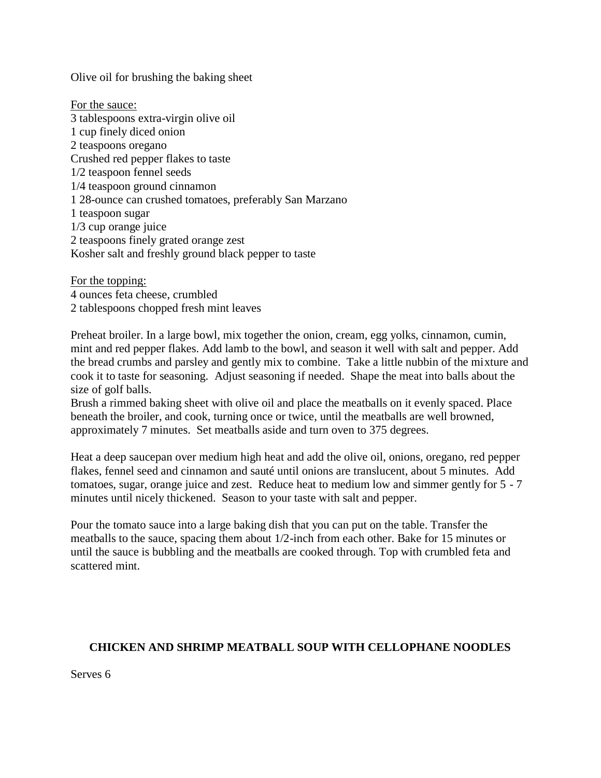Olive oil for brushing the baking sheet

For the sauce: 3 tablespoons extra-virgin olive oil 1 cup finely diced onion 2 teaspoons oregano Crushed red pepper flakes to taste 1/2 teaspoon fennel seeds 1/4 teaspoon ground cinnamon 1 28-ounce can crushed tomatoes, preferably San Marzano 1 teaspoon sugar 1/3 cup orange juice 2 teaspoons finely grated orange zest Kosher salt and freshly ground black pepper to taste

For the topping: 4 ounces feta cheese, crumbled 2 tablespoons chopped fresh mint leaves

Preheat broiler. In a large bowl, mix together the onion, cream, egg yolks, cinnamon, cumin, mint and red pepper flakes. Add lamb to the bowl, and season it well with salt and pepper. Add the bread crumbs and parsley and gently mix to combine. Take a little nubbin of the mixture and cook it to taste for seasoning. Adjust seasoning if needed. Shape the meat into balls about the size of golf balls.

Brush a rimmed baking sheet with olive oil and place the meatballs on it evenly spaced. Place beneath the broiler, and cook, turning once or twice, until the meatballs are well browned, approximately 7 minutes. Set meatballs aside and turn oven to 375 degrees.

Heat a deep saucepan over medium high heat and add the olive oil, onions, oregano, red pepper flakes, fennel seed and cinnamon and sauté until onions are translucent, about 5 minutes. Add tomatoes, sugar, orange juice and zest. Reduce heat to medium low and simmer gently for 5 - 7 minutes until nicely thickened. Season to your taste with salt and pepper.

Pour the tomato sauce into a large baking dish that you can put on the table. Transfer the meatballs to the sauce, spacing them about 1/2-inch from each other. Bake for 15 minutes or until the sauce is bubbling and the meatballs are cooked through. Top with crumbled feta and scattered mint.

## **CHICKEN AND SHRIMP MEATBALL SOUP WITH CELLOPHANE NOODLES**

Serves 6